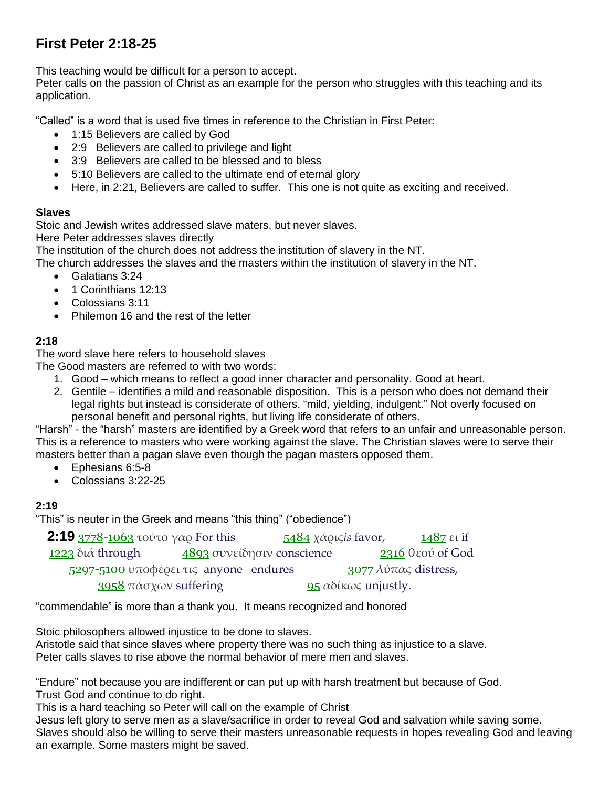# **First Peter 2:18-25**

This teaching would be difficult for a person to accept.

Peter calls on the passion of Christ as an example for the person who struggles with this teaching and its application.

"Called" is a word that is used five times in reference to the Christian in First Peter:

- 1:15 Believers are called by God
- 2:9 Believers are called to privilege and light
- 3:9 Believers are called to be blessed and to bless
- 5:10 Believers are called to the ultimate end of eternal glory
- Here, in 2:21, Believers are called to suffer. This one is not quite as exciting and received.

#### **Slaves**

Stoic and Jewish writes addressed slave maters, but never slaves.

Here Peter addresses slaves directly

The institution of the church does not address the institution of slavery in the NT.

The church addresses the slaves and the masters within the institution of slavery in the NT.

- Galatians 3:24
- 1 Corinthians 12:13
- Colossians 3:11
- Philemon 16 and the rest of the letter

# **2:18**

The word slave here refers to household slaves

The Good masters are referred to with two words:

- 1. Good which means to reflect a good inner character and personality. Good at heart.
- 2. Gentile identifies a mild and reasonable disposition. This is a person who does not demand their legal rights but instead is considerate of others. "mild, yielding, indulgent." Not overly focused on personal benefit and personal rights, but living life considerate of others.

"Harsh" - the "harsh" masters are identified by a Greek word that refers to an unfair and unreasonable person. This is a reference to masters who were working against the slave. The Christian slaves were to serve their masters better than a pagan slave even though the pagan masters opposed them.

- Ephesians 6:5-8
- Colossians 3:22-25

## **2:19**

"This" is neuter in the Greek and means "this thing" ("obedience")

| <b>2:19</b> 3778-1063 τούτο γαρ For this |  | 5484 χάρις <i>is</i> favor, |                            | 1487 $\varepsilon$ <i>u</i> if |
|------------------------------------------|--|-----------------------------|----------------------------|--------------------------------|
| <u>1223</u> διά through                  |  | 4893 συνείδησιν conscience  |                            | $2316$ θεού of God             |
| 5297-5100 υποφέρει τις anyone endures    |  |                             | 3077 λύπας distress,       |                                |
| 3958 πάσχων suffering                    |  |                             | <b>95</b> αδίκως unjustly. |                                |

"commendable" is more than a thank you. It means recognized and honored

Stoic philosophers allowed injustice to be done to slaves.

Aristotle said that since slaves where property there was no such thing as injustice to a slave. Peter calls slaves to rise above the normal behavior of mere men and slaves.

"Endure" not because you are indifferent or can put up with harsh treatment but because of God. Trust God and continue to do right.

This is a hard teaching so Peter will call on the example of Christ

Jesus left glory to serve men as a slave/sacrifice in order to reveal God and salvation while saving some. Slaves should also be willing to serve their masters unreasonable requests in hopes revealing God and leaving an example. Some masters might be saved.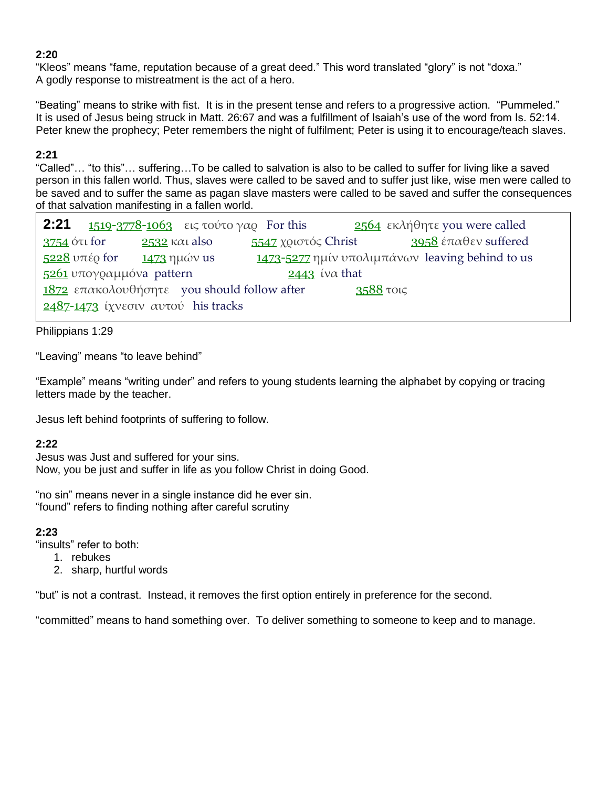#### **2:20**

"Kleos" means "fame, reputation because of a great deed." This word translated "glory" is not "doxa." A godly response to mistreatment is the act of a hero.

"Beating" means to strike with fist. It is in the present tense and refers to a progressive action. "Pummeled." It is used of Jesus being struck in Matt. 26:67 and was a fulfillment of Isaiah's use of the word from Is. 52:14. Peter knew the prophecy; Peter remembers the night of fulfilment; Peter is using it to encourage/teach slaves.

## **2:21**

"Called"… "to this"… suffering…To be called to salvation is also to be called to suffer for living like a saved person in this fallen world. Thus, slaves were called to be saved and to suffer just like, wise men were called to be saved and to suffer the same as pagan slave masters were called to be saved and suffer the consequences of that salvation manifesting in a fallen world.

|                                                              | <b>2:21 1519-3778-1063</b> εις τούτο γαφ For this |                     | 2564 εκλήθητε γου were called                                 |  |  |
|--------------------------------------------------------------|---------------------------------------------------|---------------------|---------------------------------------------------------------|--|--|
| 3754 ότι for                                                 | $2532$ kat also                                   | 5547 χριστός Christ | 3958 έπαθεν suffered                                          |  |  |
| $\frac{5228}{2}$ υπέρ for $\frac{1473}{2}$ ημών us           |                                                   |                     | $\frac{1473 - 5277}{2}$ ημίν υπολιμπάνων leaving behind to us |  |  |
| $5261$ υπογραμμόνα pattern<br>$2443$ (v $\alpha$ that        |                                                   |                     |                                                               |  |  |
| $1872$ επακολουθήσητε you should follow after<br>$3588$ τοις |                                                   |                     |                                                               |  |  |
| $2487 - 1473$ ίχνεσιν αυτού his tracks                       |                                                   |                     |                                                               |  |  |

Philippians 1:29

"Leaving" means "to leave behind"

"Example" means "writing under" and refers to young students learning the alphabet by copying or tracing letters made by the teacher.

Jesus left behind footprints of suffering to follow.

# **2:22**

Jesus was Just and suffered for your sins. Now, you be just and suffer in life as you follow Christ in doing Good.

"no sin" means never in a single instance did he ever sin. "found" refers to finding nothing after careful scrutiny

## **2:23**

"insults" refer to both:

- 1. rebukes
- 2. sharp, hurtful words

"but" is not a contrast. Instead, it removes the first option entirely in preference for the second.

"committed" means to hand something over. To deliver something to someone to keep and to manage.